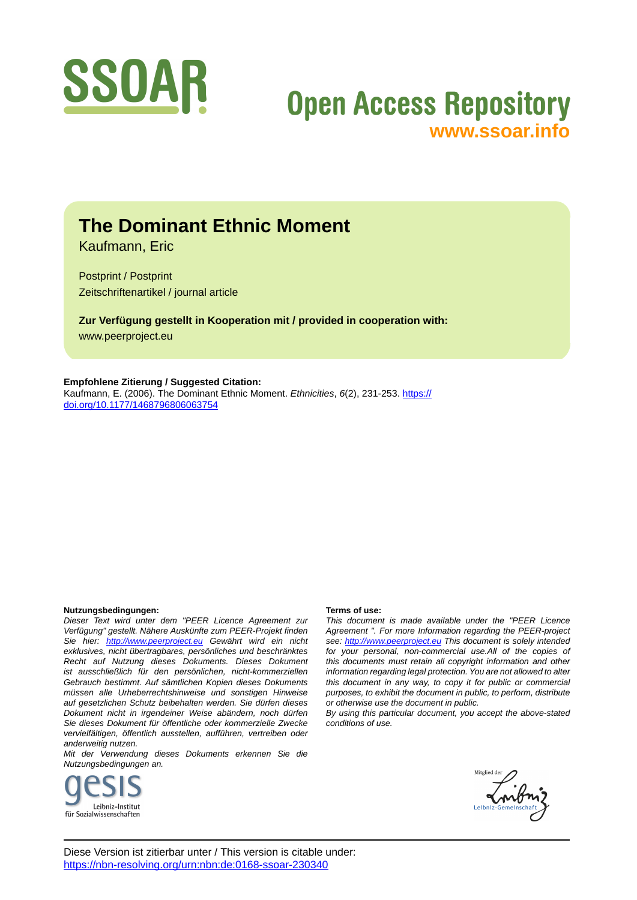

# **Open Access Repository [www.ssoar.info](http://www.ssoar.info)**

## **The Dominant Ethnic Moment**

Kaufmann, Eric

Postprint / Postprint Zeitschriftenartikel / journal article

**Zur Verfügung gestellt in Kooperation mit / provided in cooperation with:** www.peerproject.eu

#### **Empfohlene Zitierung / Suggested Citation:**

Kaufmann, E. (2006). The Dominant Ethnic Moment. *Ethnicities*, *6*(2), 231-253. [https://](https://doi.org/10.1177/1468796806063754) [doi.org/10.1177/1468796806063754](https://doi.org/10.1177/1468796806063754)

#### **Nutzungsbedingungen:**

*Dieser Text wird unter dem "PEER Licence Agreement zur Verfügung" gestellt. Nähere Auskünfte zum PEER-Projekt finden Sie hier: <http://www.peerproject.eu>Gewährt wird ein nicht exklusives, nicht übertragbares, persönliches und beschränktes Recht auf Nutzung dieses Dokuments. Dieses Dokument ist ausschließlich für den persönlichen, nicht-kommerziellen Gebrauch bestimmt. Auf sämtlichen Kopien dieses Dokuments müssen alle Urheberrechtshinweise und sonstigen Hinweise auf gesetzlichen Schutz beibehalten werden. Sie dürfen dieses Dokument nicht in irgendeiner Weise abändern, noch dürfen Sie dieses Dokument für öffentliche oder kommerzielle Zwecke vervielfältigen, öffentlich ausstellen, aufführen, vertreiben oder anderweitig nutzen.*

*Mit der Verwendung dieses Dokuments erkennen Sie die Nutzungsbedingungen an.*



#### **Terms of use:**

*This document is made available under the "PEER Licence Agreement ". For more Information regarding the PEER-project see:<http://www.peerproject.eu>This document is solely intended for your personal, non-commercial use.All of the copies of this documents must retain all copyright information and other information regarding legal protection. You are not allowed to alter this document in any way, to copy it for public or commercial purposes, to exhibit the document in public, to perform, distribute or otherwise use the document in public.*

*By using this particular document, you accept the above-stated conditions of use.*

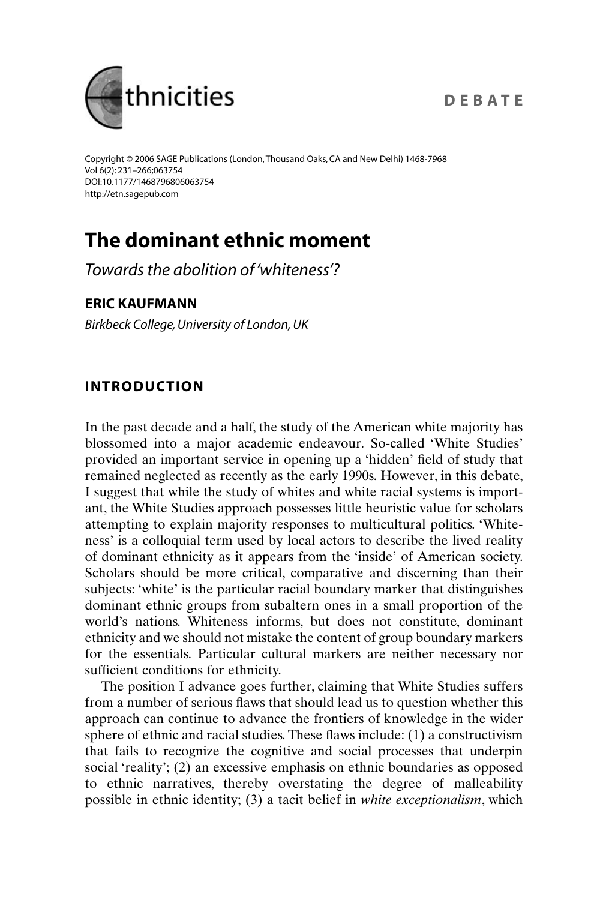

Copyright © 2006 SAGE Publications (London,Thousand Oaks, CA and New Delhi) 1468-7968 Vol 6(2): 231–266;063754 DOI:10.1177/1468796806063754 http://etn.sagepub.com

### **The dominant ethnic moment**

*Towards the abolition of 'whiteness'?*

#### **ERIC KAUFMANN**

*Birkbeck College, University of London, UK*

#### **INTRODUCTION**

In the past decade and a half, the study of the American white majority has blossomed into a major academic endeavour. So-called 'White Studies' provided an important service in opening up a 'hidden' field of study that remained neglected as recently as the early 1990s. However, in this debate, I suggest that while the study of whites and white racial systems is important, the White Studies approach possesses little heuristic value for scholars attempting to explain majority responses to multicultural politics. 'Whiteness' is a colloquial term used by local actors to describe the lived reality of dominant ethnicity as it appears from the 'inside' of American society. Scholars should be more critical, comparative and discerning than their subjects: 'white' is the particular racial boundary marker that distinguishes dominant ethnic groups from subaltern ones in a small proportion of the world's nations. Whiteness informs, but does not constitute, dominant ethnicity and we should not mistake the content of group boundary markers for the essentials. Particular cultural markers are neither necessary nor sufficient conditions for ethnicity.

The position I advance goes further, claiming that White Studies suffers from a number of serious flaws that should lead us to question whether this approach can continue to advance the frontiers of knowledge in the wider sphere of ethnic and racial studies. These flaws include: (1) a constructivism that fails to recognize the cognitive and social processes that underpin social 'reality'; (2) an excessive emphasis on ethnic boundaries as opposed to ethnic narratives, thereby overstating the degree of malleability possible in ethnic identity; (3) a tacit belief in *white exceptionalism*, which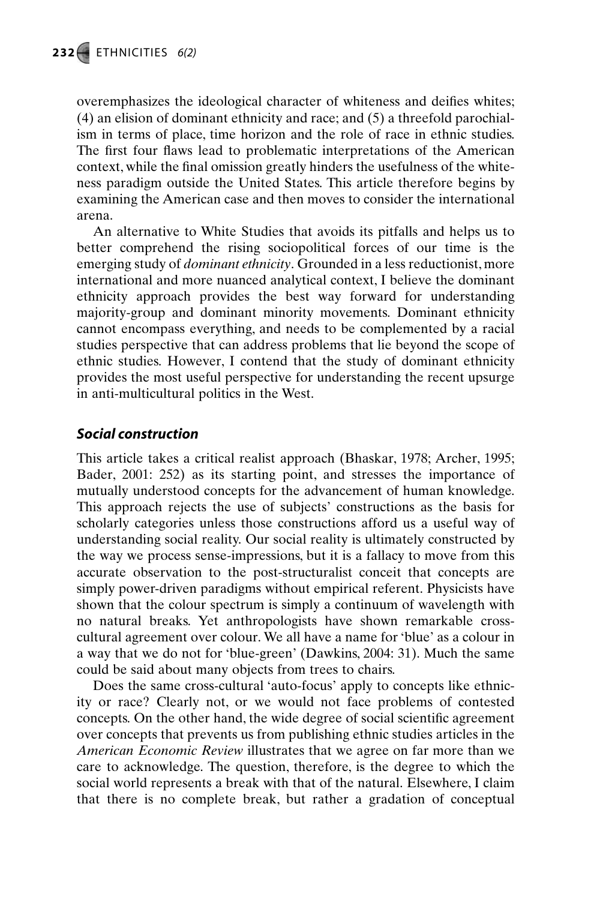overemphasizes the ideological character of whiteness and deifies whites; (4) an elision of dominant ethnicity and race; and (5) a threefold parochialism in terms of place, time horizon and the role of race in ethnic studies. The first four flaws lead to problematic interpretations of the American context, while the final omission greatly hinders the usefulness of the whiteness paradigm outside the United States. This article therefore begins by examining the American case and then moves to consider the international arena.

An alternative to White Studies that avoids its pitfalls and helps us to better comprehend the rising sociopolitical forces of our time is the emerging study of *dominant ethnicity*. Grounded in a less reductionist, more international and more nuanced analytical context, I believe the dominant ethnicity approach provides the best way forward for understanding majority-group and dominant minority movements. Dominant ethnicity cannot encompass everything, and needs to be complemented by a racial studies perspective that can address problems that lie beyond the scope of ethnic studies. However, I contend that the study of dominant ethnicity provides the most useful perspective for understanding the recent upsurge in anti-multicultural politics in the West.

#### *Social construction*

This article takes a critical realist approach (Bhaskar, 1978; Archer, 1995; Bader, 2001: 252) as its starting point, and stresses the importance of mutually understood concepts for the advancement of human knowledge. This approach rejects the use of subjects' constructions as the basis for scholarly categories unless those constructions afford us a useful way of understanding social reality. Our social reality is ultimately constructed by the way we process sense-impressions, but it is a fallacy to move from this accurate observation to the post-structuralist conceit that concepts are simply power-driven paradigms without empirical referent. Physicists have shown that the colour spectrum is simply a continuum of wavelength with no natural breaks. Yet anthropologists have shown remarkable crosscultural agreement over colour. We all have a name for 'blue' as a colour in a way that we do not for 'blue-green' (Dawkins, 2004: 31). Much the same could be said about many objects from trees to chairs.

Does the same cross-cultural 'auto-focus' apply to concepts like ethnicity or race? Clearly not, or we would not face problems of contested concepts. On the other hand, the wide degree of social scientific agreement over concepts that prevents us from publishing ethnic studies articles in the *American Economic Review* illustrates that we agree on far more than we care to acknowledge. The question, therefore, is the degree to which the social world represents a break with that of the natural. Elsewhere, I claim that there is no complete break, but rather a gradation of conceptual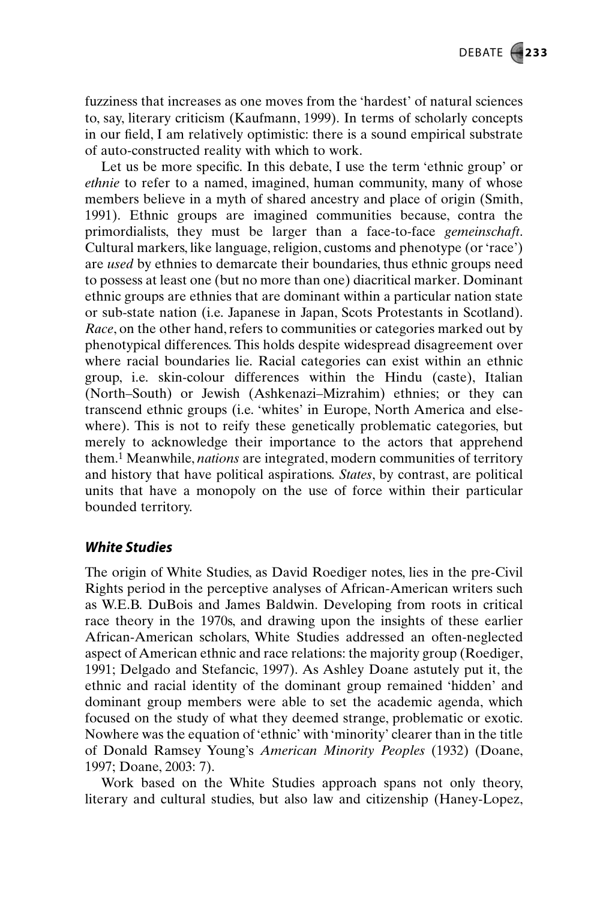fuzziness that increases as one moves from the 'hardest' of natural sciences to, say, literary criticism (Kaufmann, 1999). In terms of scholarly concepts in our field, I am relatively optimistic: there is a sound empirical substrate of auto-constructed reality with which to work.

Let us be more specific. In this debate, I use the term 'ethnic group' or *ethnie* to refer to a named, imagined, human community, many of whose members believe in a myth of shared ancestry and place of origin (Smith, 1991). Ethnic groups are imagined communities because, contra the primordialists, they must be larger than a face-to-face *gemeinschaft*. Cultural markers, like language, religion, customs and phenotype (or 'race') are *used* by ethnies to demarcate their boundaries, thus ethnic groups need to possess at least one (but no more than one) diacritical marker. Dominant ethnic groups are ethnies that are dominant within a particular nation state or sub-state nation (i.e. Japanese in Japan, Scots Protestants in Scotland). *Race*, on the other hand, refers to communities or categories marked out by phenotypical differences. This holds despite widespread disagreement over where racial boundaries lie. Racial categories can exist within an ethnic group, i.e. skin-colour differences within the Hindu (caste), Italian (North–South) or Jewish (Ashkenazi–Mizrahim) ethnies; or they can transcend ethnic groups (i.e. 'whites' in Europe, North America and elsewhere). This is not to reify these genetically problematic categories, but merely to acknowledge their importance to the actors that apprehend them.1 Meanwhile, *nations* are integrated, modern communities of territory and history that have political aspirations. *States*, by contrast, are political units that have a monopoly on the use of force within their particular bounded territory.

#### *White Studies*

The origin of White Studies, as David Roediger notes, lies in the pre-Civil Rights period in the perceptive analyses of African-American writers such as W.E.B. DuBois and James Baldwin. Developing from roots in critical race theory in the 1970s, and drawing upon the insights of these earlier African-American scholars, White Studies addressed an often-neglected aspect of American ethnic and race relations: the majority group (Roediger, 1991; Delgado and Stefancic, 1997). As Ashley Doane astutely put it, the ethnic and racial identity of the dominant group remained 'hidden' and dominant group members were able to set the academic agenda, which focused on the study of what they deemed strange, problematic or exotic. Nowhere was the equation of 'ethnic' with 'minority' clearer than in the title of Donald Ramsey Young's *American Minority Peoples* (1932) (Doane, 1997; Doane, 2003: 7).

Work based on the White Studies approach spans not only theory, literary and cultural studies, but also law and citizenship (Haney-Lopez,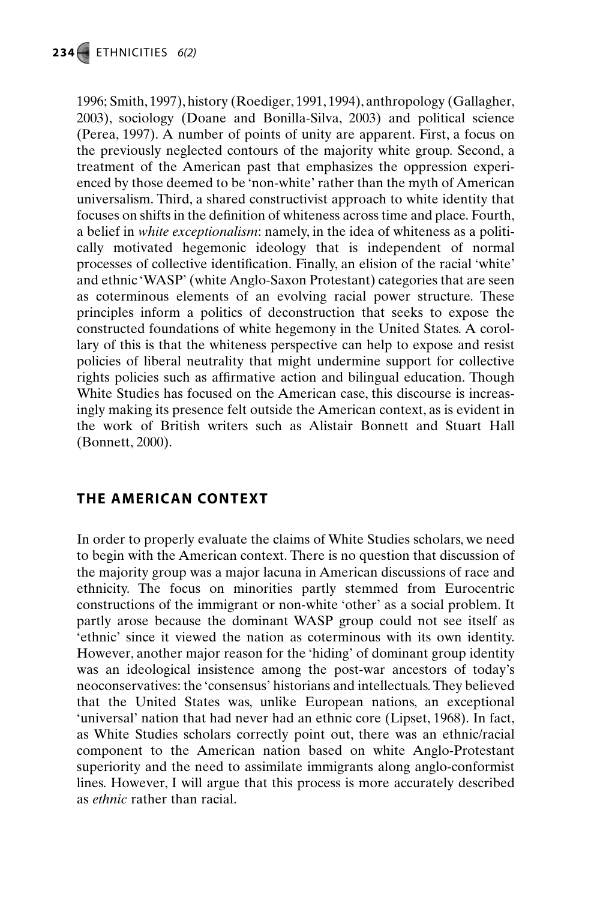1996; Smith, 1997), history (Roediger, 1991, 1994), anthropology (Gallagher, 2003), sociology (Doane and Bonilla-Silva, 2003) and political science (Perea, 1997). A number of points of unity are apparent. First, a focus on the previously neglected contours of the majority white group. Second, a treatment of the American past that emphasizes the oppression experienced by those deemed to be 'non-white' rather than the myth of American universalism. Third, a shared constructivist approach to white identity that focuses on shifts in the definition of whiteness across time and place. Fourth, a belief in *white exceptionalism*: namely, in the idea of whiteness as a politically motivated hegemonic ideology that is independent of normal processes of collective identification. Finally, an elision of the racial 'white' and ethnic 'WASP' (white Anglo-Saxon Protestant) categories that are seen as coterminous elements of an evolving racial power structure. These principles inform a politics of deconstruction that seeks to expose the constructed foundations of white hegemony in the United States. A corollary of this is that the whiteness perspective can help to expose and resist policies of liberal neutrality that might undermine support for collective rights policies such as affirmative action and bilingual education. Though White Studies has focused on the American case, this discourse is increasingly making its presence felt outside the American context, as is evident in the work of British writers such as Alistair Bonnett and Stuart Hall (Bonnett, 2000).

#### **THE AMERICAN CONTEXT**

In order to properly evaluate the claims of White Studies scholars, we need to begin with the American context. There is no question that discussion of the majority group was a major lacuna in American discussions of race and ethnicity. The focus on minorities partly stemmed from Eurocentric constructions of the immigrant or non-white 'other' as a social problem. It partly arose because the dominant WASP group could not see itself as 'ethnic' since it viewed the nation as coterminous with its own identity. However, another major reason for the 'hiding' of dominant group identity was an ideological insistence among the post-war ancestors of today's neoconservatives: the 'consensus' historians and intellectuals. They believed that the United States was, unlike European nations, an exceptional 'universal' nation that had never had an ethnic core (Lipset, 1968). In fact, as White Studies scholars correctly point out, there was an ethnic/racial component to the American nation based on white Anglo-Protestant superiority and the need to assimilate immigrants along anglo-conformist lines. However, I will argue that this process is more accurately described as *ethnic* rather than racial.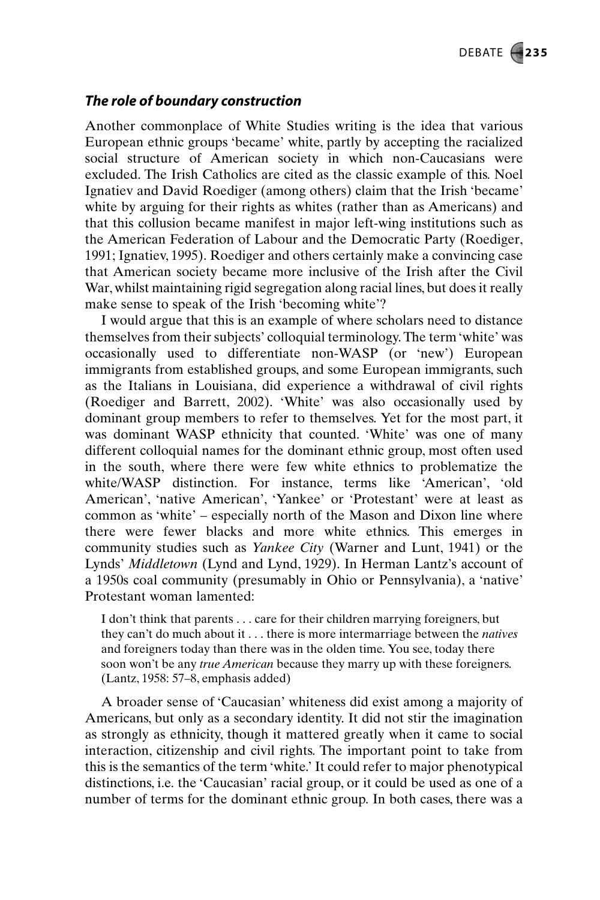

#### *The role of boundary construction*

Another commonplace of White Studies writing is the idea that various European ethnic groups 'became' white, partly by accepting the racialized social structure of American society in which non-Caucasians were excluded. The Irish Catholics are cited as the classic example of this. Noel Ignatiev and David Roediger (among others) claim that the Irish 'became' white by arguing for their rights as whites (rather than as Americans) and that this collusion became manifest in major left-wing institutions such as the American Federation of Labour and the Democratic Party (Roediger, 1991; Ignatiev, 1995). Roediger and others certainly make a convincing case that American society became more inclusive of the Irish after the Civil War, whilst maintaining rigid segregation along racial lines, but does it really make sense to speak of the Irish 'becoming white'?

I would argue that this is an example of where scholars need to distance themselves from their subjects' colloquial terminology. The term 'white' was occasionally used to differentiate non-WASP (or 'new') European immigrants from established groups, and some European immigrants, such as the Italians in Louisiana, did experience a withdrawal of civil rights (Roediger and Barrett, 2002). 'White' was also occasionally used by dominant group members to refer to themselves. Yet for the most part, it was dominant WASP ethnicity that counted. 'White' was one of many different colloquial names for the dominant ethnic group, most often used in the south, where there were few white ethnics to problematize the white/WASP distinction. For instance, terms like 'American', 'old American', 'native American', 'Yankee' or 'Protestant' were at least as common as 'white' – especially north of the Mason and Dixon line where there were fewer blacks and more white ethnics. This emerges in community studies such as *Yankee City* (Warner and Lunt, 1941) or the Lynds' *Middletown* (Lynd and Lynd, 1929). In Herman Lantz's account of a 1950s coal community (presumably in Ohio or Pennsylvania), a 'native' Protestant woman lamented:

I don't think that parents . . . care for their children marrying foreigners, but they can't do much about it . . . there is more intermarriage between the *natives* and foreigners today than there was in the olden time. You see, today there soon won't be any *true American* because they marry up with these foreigners. (Lantz, 1958: 57–8, emphasis added)

A broader sense of 'Caucasian' whiteness did exist among a majority of Americans, but only as a secondary identity. It did not stir the imagination as strongly as ethnicity, though it mattered greatly when it came to social interaction, citizenship and civil rights. The important point to take from this is the semantics of the term 'white.' It could refer to major phenotypical distinctions, i.e. the 'Caucasian' racial group, or it could be used as one of a number of terms for the dominant ethnic group. In both cases, there was a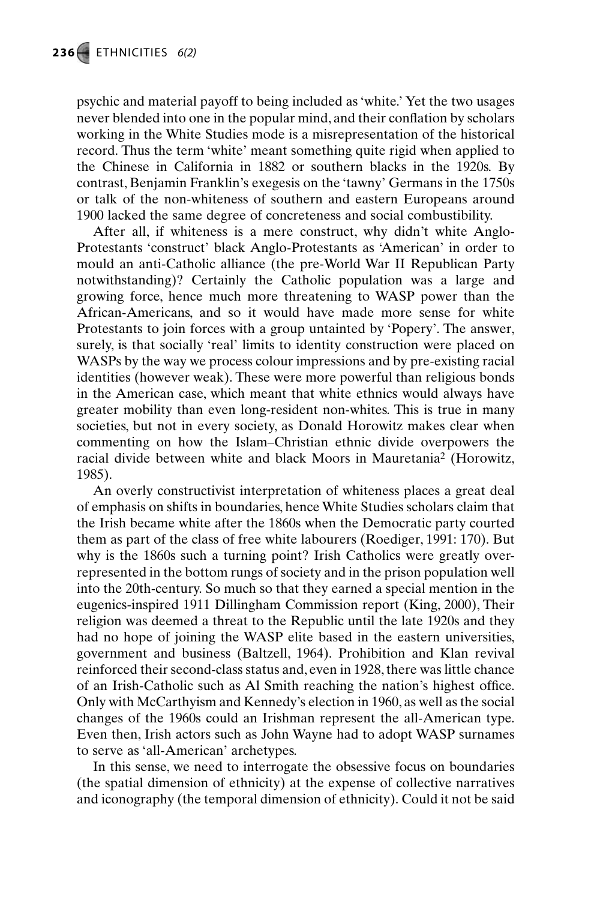psychic and material payoff to being included as 'white.' Yet the two usages never blended into one in the popular mind, and their conflation by scholars working in the White Studies mode is a misrepresentation of the historical record. Thus the term 'white' meant something quite rigid when applied to the Chinese in California in 1882 or southern blacks in the 1920s. By contrast, Benjamin Franklin's exegesis on the 'tawny' Germans in the 1750s or talk of the non-whiteness of southern and eastern Europeans around 1900 lacked the same degree of concreteness and social combustibility.

After all, if whiteness is a mere construct, why didn't white Anglo-Protestants 'construct' black Anglo-Protestants as 'American' in order to mould an anti-Catholic alliance (the pre-World War II Republican Party notwithstanding)? Certainly the Catholic population was a large and growing force, hence much more threatening to WASP power than the African-Americans, and so it would have made more sense for white Protestants to join forces with a group untainted by 'Popery'. The answer, surely, is that socially 'real' limits to identity construction were placed on WASPs by the way we process colour impressions and by pre-existing racial identities (however weak). These were more powerful than religious bonds in the American case, which meant that white ethnics would always have greater mobility than even long-resident non-whites. This is true in many societies, but not in every society, as Donald Horowitz makes clear when commenting on how the Islam–Christian ethnic divide overpowers the racial divide between white and black Moors in Mauretania2 (Horowitz, 1985).

An overly constructivist interpretation of whiteness places a great deal of emphasis on shifts in boundaries, hence White Studies scholars claim that the Irish became white after the 1860s when the Democratic party courted them as part of the class of free white labourers (Roediger, 1991: 170). But why is the 1860s such a turning point? Irish Catholics were greatly overrepresented in the bottom rungs of society and in the prison population well into the 20th-century. So much so that they earned a special mention in the eugenics-inspired 1911 Dillingham Commission report (King, 2000), Their religion was deemed a threat to the Republic until the late 1920s and they had no hope of joining the WASP elite based in the eastern universities, government and business (Baltzell, 1964). Prohibition and Klan revival reinforced their second-class status and, even in 1928, there was little chance of an Irish-Catholic such as Al Smith reaching the nation's highest office. Only with McCarthyism and Kennedy's election in 1960, as well as the social changes of the 1960s could an Irishman represent the all-American type. Even then, Irish actors such as John Wayne had to adopt WASP surnames to serve as 'all-American' archetypes.

In this sense, we need to interrogate the obsessive focus on boundaries (the spatial dimension of ethnicity) at the expense of collective narratives and iconography (the temporal dimension of ethnicity). Could it not be said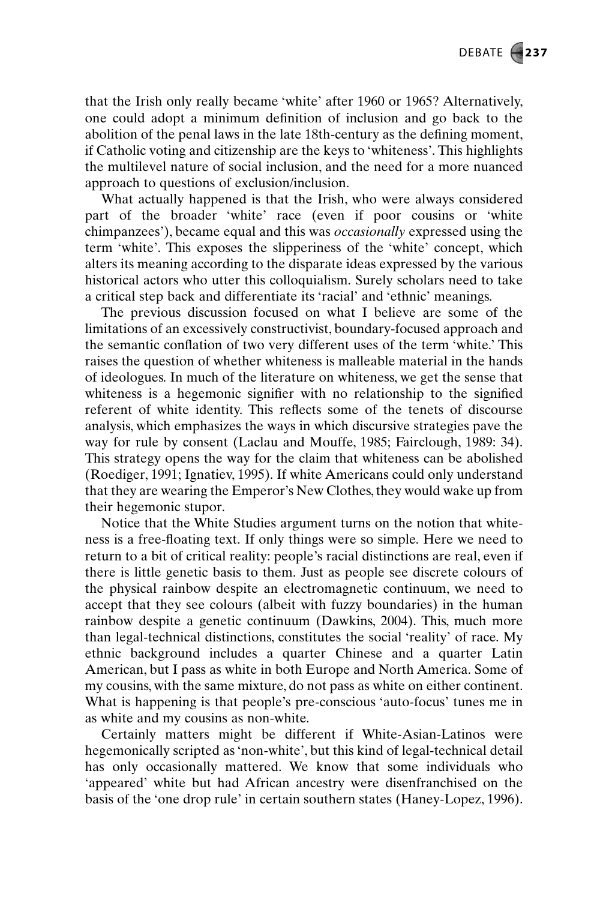that the Irish only really became 'white' after 1960 or 1965? Alternatively, one could adopt a minimum definition of inclusion and go back to the abolition of the penal laws in the late 18th-century as the defining moment, if Catholic voting and citizenship are the keys to 'whiteness'. This highlights the multilevel nature of social inclusion, and the need for a more nuanced approach to questions of exclusion/inclusion.

What actually happened is that the Irish, who were always considered part of the broader 'white' race (even if poor cousins or 'white chimpanzees'), became equal and this was *occasionally* expressed using the term 'white'. This exposes the slipperiness of the 'white' concept, which alters its meaning according to the disparate ideas expressed by the various historical actors who utter this colloquialism. Surely scholars need to take a critical step back and differentiate its 'racial' and 'ethnic' meanings.

The previous discussion focused on what I believe are some of the limitations of an excessively constructivist, boundary-focused approach and the semantic conflation of two very different uses of the term 'white.' This raises the question of whether whiteness is malleable material in the hands of ideologues. In much of the literature on whiteness, we get the sense that whiteness is a hegemonic signifier with no relationship to the signified referent of white identity. This reflects some of the tenets of discourse analysis, which emphasizes the ways in which discursive strategies pave the way for rule by consent (Laclau and Mouffe, 1985; Fairclough, 1989: 34). This strategy opens the way for the claim that whiteness can be abolished (Roediger, 1991; Ignatiev, 1995). If white Americans could only understand that they are wearing the Emperor's New Clothes, they would wake up from their hegemonic stupor.

Notice that the White Studies argument turns on the notion that whiteness is a free-floating text. If only things were so simple. Here we need to return to a bit of critical reality: people's racial distinctions are real, even if there is little genetic basis to them. Just as people see discrete colours of the physical rainbow despite an electromagnetic continuum, we need to accept that they see colours (albeit with fuzzy boundaries) in the human rainbow despite a genetic continuum (Dawkins, 2004). This, much more than legal-technical distinctions, constitutes the social 'reality' of race. My ethnic background includes a quarter Chinese and a quarter Latin American, but I pass as white in both Europe and North America. Some of my cousins, with the same mixture, do not pass as white on either continent. What is happening is that people's pre-conscious 'auto-focus' tunes me in as white and my cousins as non-white.

Certainly matters might be different if White-Asian-Latinos were hegemonically scripted as 'non-white', but this kind of legal-technical detail has only occasionally mattered. We know that some individuals who 'appeared' white but had African ancestry were disenfranchised on the basis of the 'one drop rule' in certain southern states (Haney-Lopez, 1996).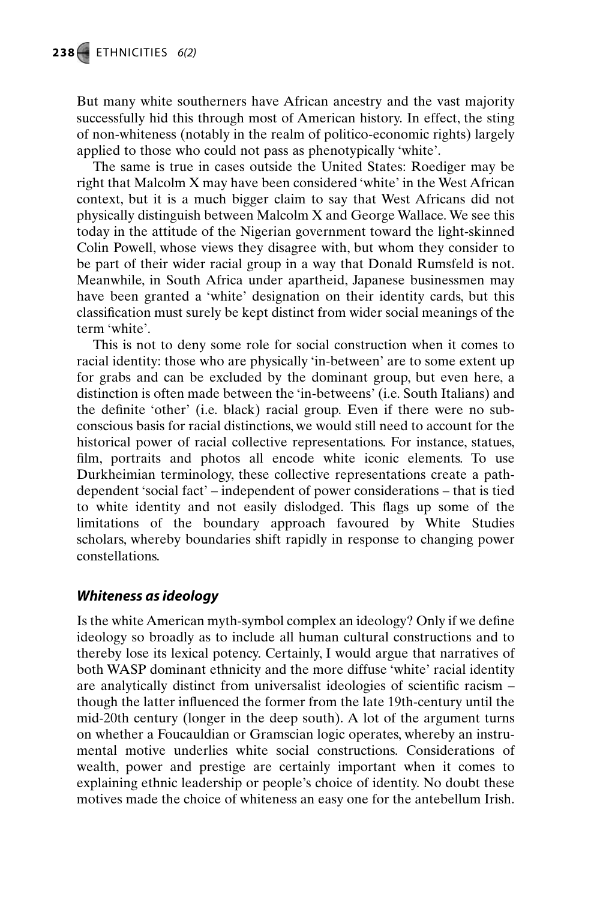But many white southerners have African ancestry and the vast majority successfully hid this through most of American history. In effect, the sting of non-whiteness (notably in the realm of politico-economic rights) largely applied to those who could not pass as phenotypically 'white'.

The same is true in cases outside the United States: Roediger may be right that Malcolm X may have been considered 'white' in the West African context, but it is a much bigger claim to say that West Africans did not physically distinguish between Malcolm X and George Wallace. We see this today in the attitude of the Nigerian government toward the light-skinned Colin Powell, whose views they disagree with, but whom they consider to be part of their wider racial group in a way that Donald Rumsfeld is not. Meanwhile, in South Africa under apartheid, Japanese businessmen may have been granted a 'white' designation on their identity cards, but this classification must surely be kept distinct from wider social meanings of the term 'white'.

This is not to deny some role for social construction when it comes to racial identity: those who are physically 'in-between' are to some extent up for grabs and can be excluded by the dominant group, but even here, a distinction is often made between the 'in-betweens' (i.e. South Italians) and the definite 'other' (i.e. black) racial group. Even if there were no subconscious basis for racial distinctions, we would still need to account for the historical power of racial collective representations. For instance, statues, film, portraits and photos all encode white iconic elements. To use Durkheimian terminology, these collective representations create a pathdependent 'social fact' – independent of power considerations – that is tied to white identity and not easily dislodged. This flags up some of the limitations of the boundary approach favoured by White Studies scholars, whereby boundaries shift rapidly in response to changing power constellations.

#### *Whiteness as ideology*

Is the white American myth-symbol complex an ideology? Only if we define ideology so broadly as to include all human cultural constructions and to thereby lose its lexical potency. Certainly, I would argue that narratives of both WASP dominant ethnicity and the more diffuse 'white' racial identity are analytically distinct from universalist ideologies of scientific racism – though the latter influenced the former from the late 19th-century until the mid-20th century (longer in the deep south). A lot of the argument turns on whether a Foucauldian or Gramscian logic operates, whereby an instrumental motive underlies white social constructions. Considerations of wealth, power and prestige are certainly important when it comes to explaining ethnic leadership or people's choice of identity. No doubt these motives made the choice of whiteness an easy one for the antebellum Irish.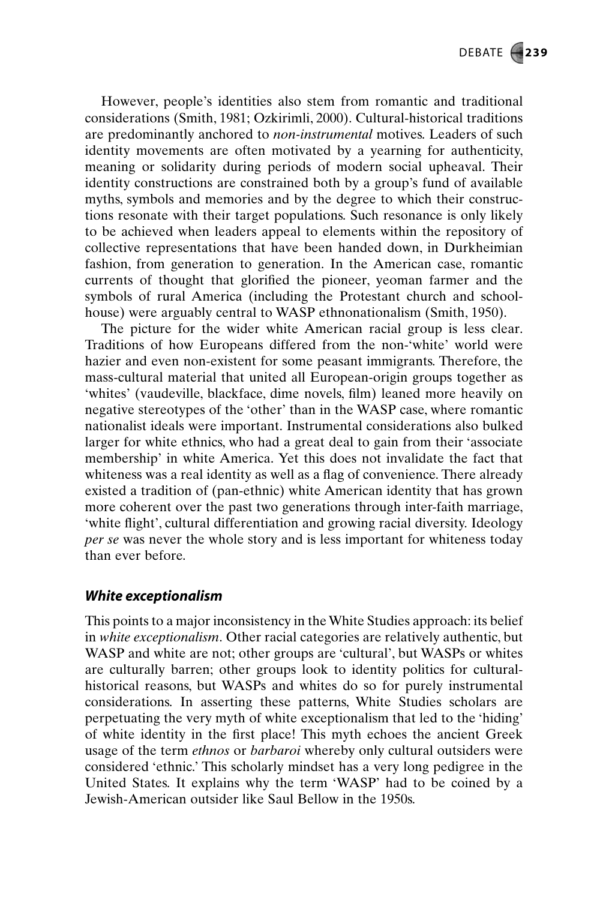However, people's identities also stem from romantic and traditional considerations (Smith, 1981; Ozkirimli, 2000). Cultural-historical traditions are predominantly anchored to *non-instrumental* motives. Leaders of such identity movements are often motivated by a yearning for authenticity, meaning or solidarity during periods of modern social upheaval. Their identity constructions are constrained both by a group's fund of available myths, symbols and memories and by the degree to which their constructions resonate with their target populations. Such resonance is only likely to be achieved when leaders appeal to elements within the repository of collective representations that have been handed down, in Durkheimian fashion, from generation to generation. In the American case, romantic currents of thought that glorified the pioneer, yeoman farmer and the symbols of rural America (including the Protestant church and schoolhouse) were arguably central to WASP ethnonationalism (Smith, 1950).

The picture for the wider white American racial group is less clear. Traditions of how Europeans differed from the non-'white' world were hazier and even non-existent for some peasant immigrants. Therefore, the mass-cultural material that united all European-origin groups together as 'whites' (vaudeville, blackface, dime novels, film) leaned more heavily on negative stereotypes of the 'other' than in the WASP case, where romantic nationalist ideals were important. Instrumental considerations also bulked larger for white ethnics, who had a great deal to gain from their 'associate membership' in white America. Yet this does not invalidate the fact that whiteness was a real identity as well as a flag of convenience. There already existed a tradition of (pan-ethnic) white American identity that has grown more coherent over the past two generations through inter-faith marriage, 'white flight', cultural differentiation and growing racial diversity. Ideology *per se* was never the whole story and is less important for whiteness today than ever before.

#### *White exceptionalism*

This points to a major inconsistency in the White Studies approach: its belief in *white exceptionalism*. Other racial categories are relatively authentic, but WASP and white are not; other groups are 'cultural', but WASPs or whites are culturally barren; other groups look to identity politics for culturalhistorical reasons, but WASPs and whites do so for purely instrumental considerations. In asserting these patterns, White Studies scholars are perpetuating the very myth of white exceptionalism that led to the 'hiding' of white identity in the first place! This myth echoes the ancient Greek usage of the term *ethnos* or *barbaroi* whereby only cultural outsiders were considered 'ethnic.' This scholarly mindset has a very long pedigree in the United States. It explains why the term 'WASP' had to be coined by a Jewish-American outsider like Saul Bellow in the 1950s.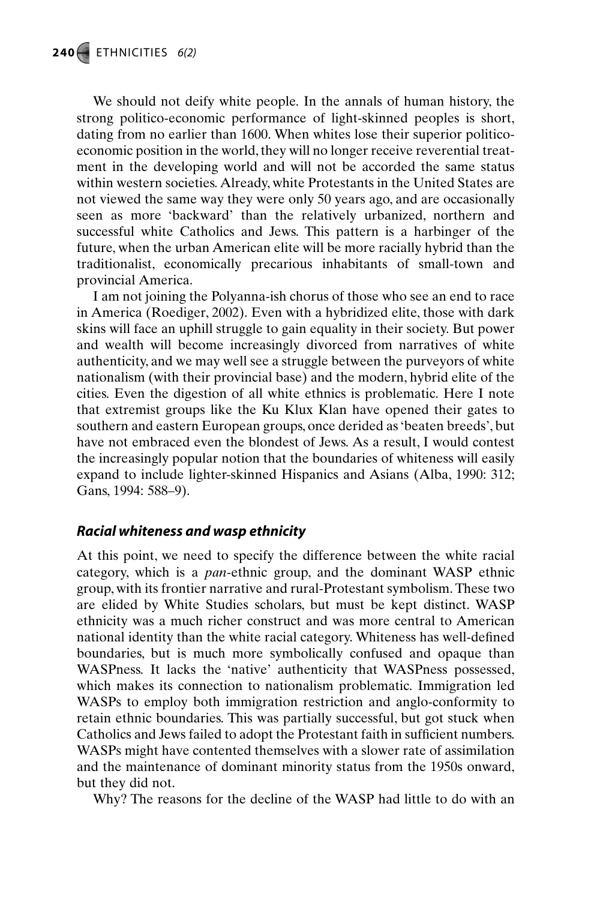We should not deify white people. In the annals of human history, the strong politico-economic performance of light-skinned peoples is short, dating from no earlier than 1600. When whites lose their superior politicoeconomic position in the world, they will no longer receive reverential treatment in the developing world and will not be accorded the same status within western societies. Already, white Protestants in the United States are not viewed the same way they were only 50 years ago, and are occasionally seen as more 'backward' than the relatively urbanized, northern and successful white Catholics and Jews. This pattern is a harbinger of the future, when the urban American elite will be more racially hybrid than the traditionalist, economically precarious inhabitants of small-town and provincial America.

I am not joining the Polyanna-ish chorus of those who see an end to race in America (Roediger, 2002). Even with a hybridized elite, those with dark skins will face an uphill struggle to gain equality in their society. But power and wealth will become increasingly divorced from narratives of white authenticity, and we may well see a struggle between the purveyors of white nationalism (with their provincial base) and the modern, hybrid elite of the cities. Even the digestion of all white ethnics is problematic. Here I note that extremist groups like the Ku Klux Klan have opened their gates to southern and eastern European groups, once derided as 'beaten breeds', but have not embraced even the blondest of Jews. As a result, I would contest the increasingly popular notion that the boundaries of whiteness will easily expand to include lighter-skinned Hispanics and Asians (Alba, 1990: 312; Gans, 1994: 588–9).

#### *Racial whiteness and wasp ethnicity*

At this point, we need to specify the difference between the white racial category, which is a *pan*-ethnic group, and the dominant WASP ethnic group, with its frontier narrative and rural-Protestant symbolism. These two are elided by White Studies scholars, but must be kept distinct. WASP ethnicity was a much richer construct and was more central to American national identity than the white racial category. Whiteness has well-defined boundaries, but is much more symbolically confused and opaque than WASPness. It lacks the 'native' authenticity that WASPness possessed, which makes its connection to nationalism problematic. Immigration led WASPs to employ both immigration restriction and anglo-conformity to retain ethnic boundaries. This was partially successful, but got stuck when Catholics and Jews failed to adopt the Protestant faith in sufficient numbers. WASPs might have contented themselves with a slower rate of assimilation and the maintenance of dominant minority status from the 1950s onward, but they did not.

Why? The reasons for the decline of the WASP had little to do with an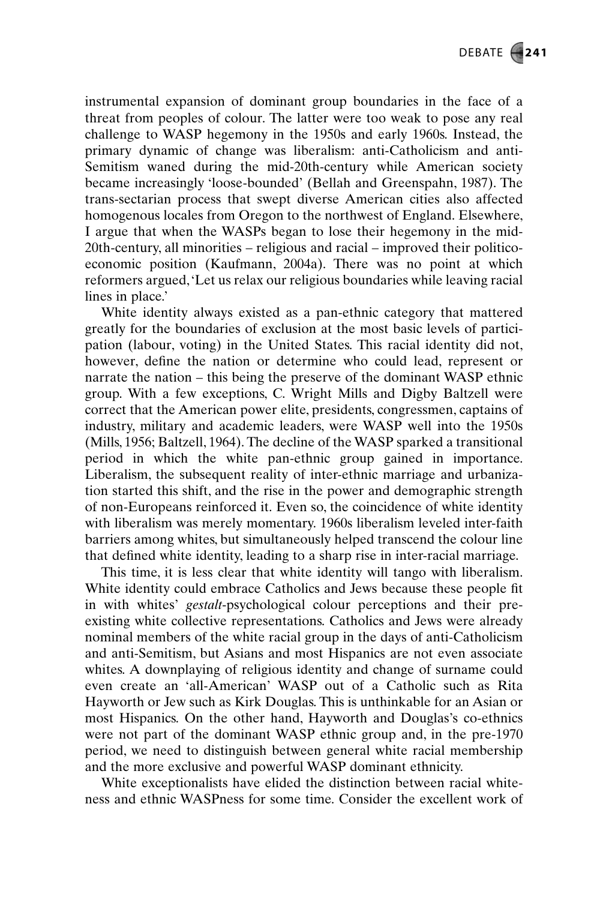**241** DEBATE

instrumental expansion of dominant group boundaries in the face of a threat from peoples of colour. The latter were too weak to pose any real challenge to WASP hegemony in the 1950s and early 1960s. Instead, the primary dynamic of change was liberalism: anti-Catholicism and anti-Semitism waned during the mid-20th-century while American society became increasingly 'loose-bounded' (Bellah and Greenspahn, 1987). The trans-sectarian process that swept diverse American cities also affected homogenous locales from Oregon to the northwest of England. Elsewhere, I argue that when the WASPs began to lose their hegemony in the mid-20th-century, all minorities – religious and racial – improved their politicoeconomic position (Kaufmann, 2004a). There was no point at which reformers argued,'Let us relax our religious boundaries while leaving racial lines in place.'

White identity always existed as a pan-ethnic category that mattered greatly for the boundaries of exclusion at the most basic levels of participation (labour, voting) in the United States. This racial identity did not, however, define the nation or determine who could lead, represent or narrate the nation – this being the preserve of the dominant WASP ethnic group. With a few exceptions, C. Wright Mills and Digby Baltzell were correct that the American power elite, presidents, congressmen, captains of industry, military and academic leaders, were WASP well into the 1950s (Mills, 1956; Baltzell, 1964). The decline of the WASP sparked a transitional period in which the white pan-ethnic group gained in importance. Liberalism, the subsequent reality of inter-ethnic marriage and urbanization started this shift, and the rise in the power and demographic strength of non-Europeans reinforced it. Even so, the coincidence of white identity with liberalism was merely momentary. 1960s liberalism leveled inter-faith barriers among whites, but simultaneously helped transcend the colour line that defined white identity, leading to a sharp rise in inter-racial marriage.

This time, it is less clear that white identity will tango with liberalism. White identity could embrace Catholics and Jews because these people fit in with whites' *gestalt*-psychological colour perceptions and their preexisting white collective representations. Catholics and Jews were already nominal members of the white racial group in the days of anti-Catholicism and anti-Semitism, but Asians and most Hispanics are not even associate whites. A downplaying of religious identity and change of surname could even create an 'all-American' WASP out of a Catholic such as Rita Hayworth or Jew such as Kirk Douglas. This is unthinkable for an Asian or most Hispanics. On the other hand, Hayworth and Douglas's co-ethnics were not part of the dominant WASP ethnic group and, in the pre-1970 period, we need to distinguish between general white racial membership and the more exclusive and powerful WASP dominant ethnicity.

White exceptionalists have elided the distinction between racial whiteness and ethnic WASPness for some time. Consider the excellent work of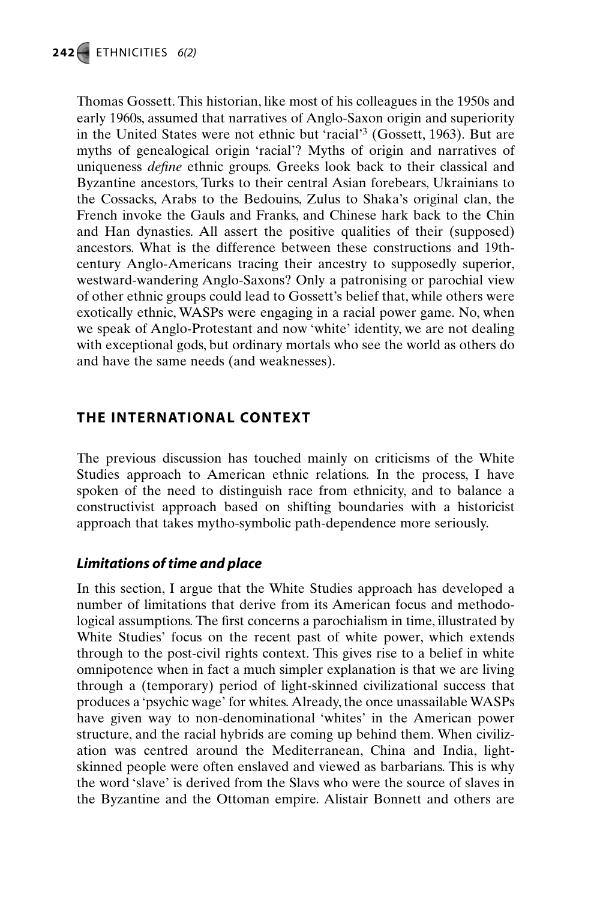Thomas Gossett. This historian, like most of his colleagues in the 1950s and early 1960s, assumed that narratives of Anglo-Saxon origin and superiority in the United States were not ethnic but 'racial'3 (Gossett, 1963). But are myths of genealogical origin 'racial'? Myths of origin and narratives of uniqueness *define* ethnic groups. Greeks look back to their classical and Byzantine ancestors, Turks to their central Asian forebears, Ukrainians to the Cossacks, Arabs to the Bedouins, Zulus to Shaka's original clan, the French invoke the Gauls and Franks, and Chinese hark back to the Chin and Han dynasties. All assert the positive qualities of their (supposed) ancestors. What is the difference between these constructions and 19thcentury Anglo-Americans tracing their ancestry to supposedly superior, westward-wandering Anglo-Saxons? Only a patronising or parochial view of other ethnic groups could lead to Gossett's belief that, while others were exotically ethnic, WASPs were engaging in a racial power game. No, when we speak of Anglo-Protestant and now 'white' identity, we are not dealing with exceptional gods, but ordinary mortals who see the world as others do and have the same needs (and weaknesses).

#### **THE INTERNATIONAL CONTEXT**

The previous discussion has touched mainly on criticisms of the White Studies approach to American ethnic relations. In the process, I have spoken of the need to distinguish race from ethnicity, and to balance a constructivist approach based on shifting boundaries with a historicist approach that takes mytho-symbolic path-dependence more seriously.

#### *Limitations of time and place*

In this section, I argue that the White Studies approach has developed a number of limitations that derive from its American focus and methodological assumptions. The first concerns a parochialism in time, illustrated by White Studies' focus on the recent past of white power, which extends through to the post-civil rights context. This gives rise to a belief in white omnipotence when in fact a much simpler explanation is that we are living through a (temporary) period of light-skinned civilizational success that produces a 'psychic wage' for whites. Already, the once unassailable WASPs have given way to non-denominational 'whites' in the American power structure, and the racial hybrids are coming up behind them. When civilization was centred around the Mediterranean, China and India, lightskinned people were often enslaved and viewed as barbarians. This is why the word 'slave' is derived from the Slavs who were the source of slaves in the Byzantine and the Ottoman empire. Alistair Bonnett and others are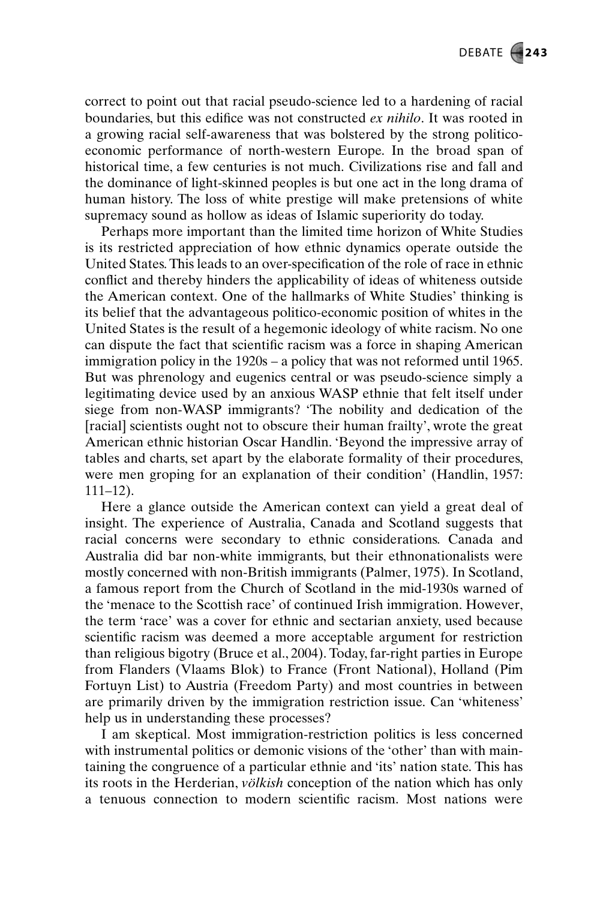correct to point out that racial pseudo-science led to a hardening of racial boundaries, but this edifice was not constructed *ex nihilo*. It was rooted in a growing racial self-awareness that was bolstered by the strong politicoeconomic performance of north-western Europe. In the broad span of historical time, a few centuries is not much. Civilizations rise and fall and the dominance of light-skinned peoples is but one act in the long drama of human history. The loss of white prestige will make pretensions of white supremacy sound as hollow as ideas of Islamic superiority do today.

Perhaps more important than the limited time horizon of White Studies is its restricted appreciation of how ethnic dynamics operate outside the United States. This leads to an over-specification of the role of race in ethnic conflict and thereby hinders the applicability of ideas of whiteness outside the American context. One of the hallmarks of White Studies' thinking is its belief that the advantageous politico-economic position of whites in the United States is the result of a hegemonic ideology of white racism. No one can dispute the fact that scientific racism was a force in shaping American immigration policy in the 1920s – a policy that was not reformed until 1965. But was phrenology and eugenics central or was pseudo-science simply a legitimating device used by an anxious WASP ethnie that felt itself under siege from non-WASP immigrants? 'The nobility and dedication of the [racial] scientists ought not to obscure their human frailty', wrote the great American ethnic historian Oscar Handlin. 'Beyond the impressive array of tables and charts, set apart by the elaborate formality of their procedures, were men groping for an explanation of their condition' (Handlin, 1957: 111–12).

Here a glance outside the American context can yield a great deal of insight. The experience of Australia, Canada and Scotland suggests that racial concerns were secondary to ethnic considerations. Canada and Australia did bar non-white immigrants, but their ethnonationalists were mostly concerned with non-British immigrants (Palmer, 1975). In Scotland, a famous report from the Church of Scotland in the mid-1930s warned of the 'menace to the Scottish race' of continued Irish immigration. However, the term 'race' was a cover for ethnic and sectarian anxiety, used because scientific racism was deemed a more acceptable argument for restriction than religious bigotry (Bruce et al., 2004). Today, far-right parties in Europe from Flanders (Vlaams Blok) to France (Front National), Holland (Pim Fortuyn List) to Austria (Freedom Party) and most countries in between are primarily driven by the immigration restriction issue. Can 'whiteness' help us in understanding these processes?

I am skeptical. Most immigration-restriction politics is less concerned with instrumental politics or demonic visions of the 'other' than with maintaining the congruence of a particular ethnie and 'its' nation state. This has its roots in the Herderian, *völkish* conception of the nation which has only a tenuous connection to modern scientific racism. Most nations were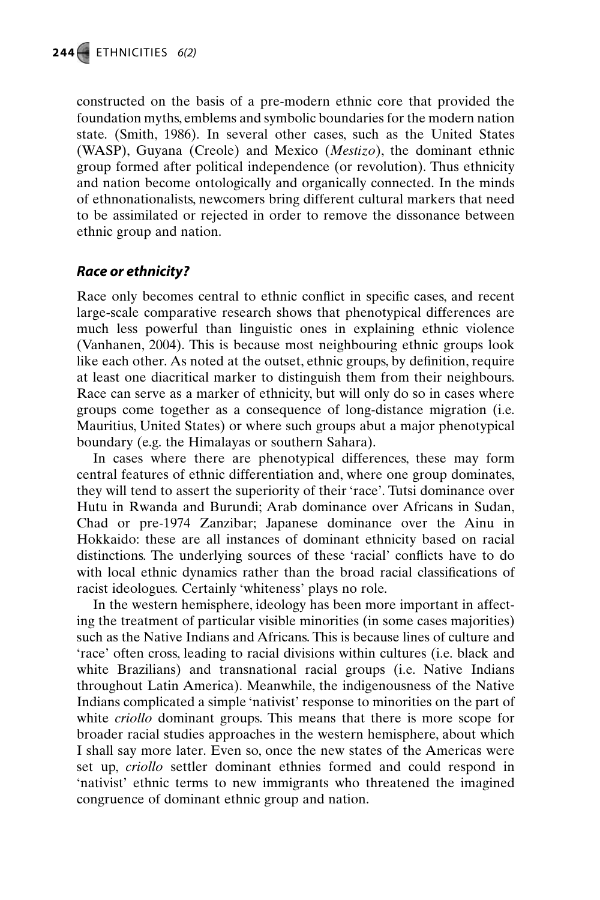constructed on the basis of a pre-modern ethnic core that provided the foundation myths, emblems and symbolic boundaries for the modern nation state. (Smith, 1986). In several other cases, such as the United States (WASP), Guyana (Creole) and Mexico (*Mestizo*), the dominant ethnic group formed after political independence (or revolution). Thus ethnicity and nation become ontologically and organically connected. In the minds of ethnonationalists, newcomers bring different cultural markers that need to be assimilated or rejected in order to remove the dissonance between ethnic group and nation.

#### *Race or ethnicity?*

Race only becomes central to ethnic conflict in specific cases, and recent large-scale comparative research shows that phenotypical differences are much less powerful than linguistic ones in explaining ethnic violence (Vanhanen, 2004). This is because most neighbouring ethnic groups look like each other. As noted at the outset, ethnic groups, by definition, require at least one diacritical marker to distinguish them from their neighbours. Race can serve as a marker of ethnicity, but will only do so in cases where groups come together as a consequence of long-distance migration (i.e. Mauritius, United States) or where such groups abut a major phenotypical boundary (e.g. the Himalayas or southern Sahara).

In cases where there are phenotypical differences, these may form central features of ethnic differentiation and, where one group dominates, they will tend to assert the superiority of their 'race'. Tutsi dominance over Hutu in Rwanda and Burundi; Arab dominance over Africans in Sudan, Chad or pre-1974 Zanzibar; Japanese dominance over the Ainu in Hokkaido: these are all instances of dominant ethnicity based on racial distinctions. The underlying sources of these 'racial' conflicts have to do with local ethnic dynamics rather than the broad racial classifications of racist ideologues. Certainly 'whiteness' plays no role.

In the western hemisphere, ideology has been more important in affecting the treatment of particular visible minorities (in some cases majorities) such as the Native Indians and Africans. This is because lines of culture and 'race' often cross, leading to racial divisions within cultures (i.e. black and white Brazilians) and transnational racial groups (i.e. Native Indians throughout Latin America). Meanwhile, the indigenousness of the Native Indians complicated a simple 'nativist' response to minorities on the part of white *criollo* dominant groups. This means that there is more scope for broader racial studies approaches in the western hemisphere, about which I shall say more later. Even so, once the new states of the Americas were set up, *criollo* settler dominant ethnies formed and could respond in 'nativist' ethnic terms to new immigrants who threatened the imagined congruence of dominant ethnic group and nation.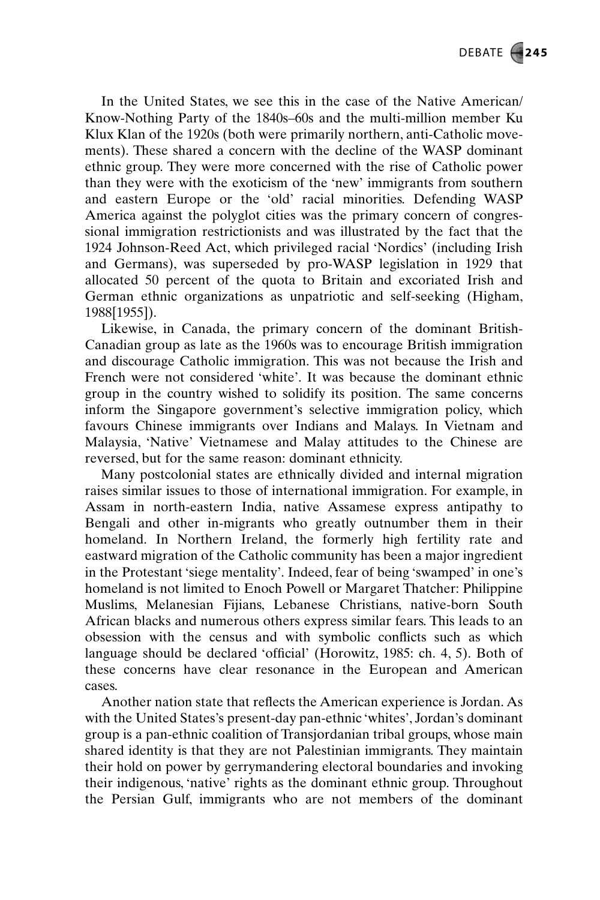**245** DEBATE

In the United States, we see this in the case of the Native American/ Know-Nothing Party of the 1840s–60s and the multi-million member Ku Klux Klan of the 1920s (both were primarily northern, anti-Catholic movements). These shared a concern with the decline of the WASP dominant ethnic group. They were more concerned with the rise of Catholic power than they were with the exoticism of the 'new' immigrants from southern and eastern Europe or the 'old' racial minorities. Defending WASP America against the polyglot cities was the primary concern of congressional immigration restrictionists and was illustrated by the fact that the 1924 Johnson-Reed Act, which privileged racial 'Nordics' (including Irish and Germans), was superseded by pro-WASP legislation in 1929 that allocated 50 percent of the quota to Britain and excoriated Irish and German ethnic organizations as unpatriotic and self-seeking (Higham, 1988[1955]).

Likewise, in Canada, the primary concern of the dominant British-Canadian group as late as the 1960s was to encourage British immigration and discourage Catholic immigration. This was not because the Irish and French were not considered 'white'. It was because the dominant ethnic group in the country wished to solidify its position. The same concerns inform the Singapore government's selective immigration policy, which favours Chinese immigrants over Indians and Malays. In Vietnam and Malaysia, 'Native' Vietnamese and Malay attitudes to the Chinese are reversed, but for the same reason: dominant ethnicity.

Many postcolonial states are ethnically divided and internal migration raises similar issues to those of international immigration. For example, in Assam in north-eastern India, native Assamese express antipathy to Bengali and other in-migrants who greatly outnumber them in their homeland. In Northern Ireland, the formerly high fertility rate and eastward migration of the Catholic community has been a major ingredient in the Protestant 'siege mentality'. Indeed, fear of being 'swamped' in one's homeland is not limited to Enoch Powell or Margaret Thatcher: Philippine Muslims, Melanesian Fijians, Lebanese Christians, native-born South African blacks and numerous others express similar fears. This leads to an obsession with the census and with symbolic conflicts such as which language should be declared 'official' (Horowitz, 1985: ch. 4, 5). Both of these concerns have clear resonance in the European and American cases.

Another nation state that reflects the American experience is Jordan. As with the United States's present-day pan-ethnic 'whites', Jordan's dominant group is a pan-ethnic coalition of Transjordanian tribal groups, whose main shared identity is that they are not Palestinian immigrants. They maintain their hold on power by gerrymandering electoral boundaries and invoking their indigenous, 'native' rights as the dominant ethnic group. Throughout the Persian Gulf, immigrants who are not members of the dominant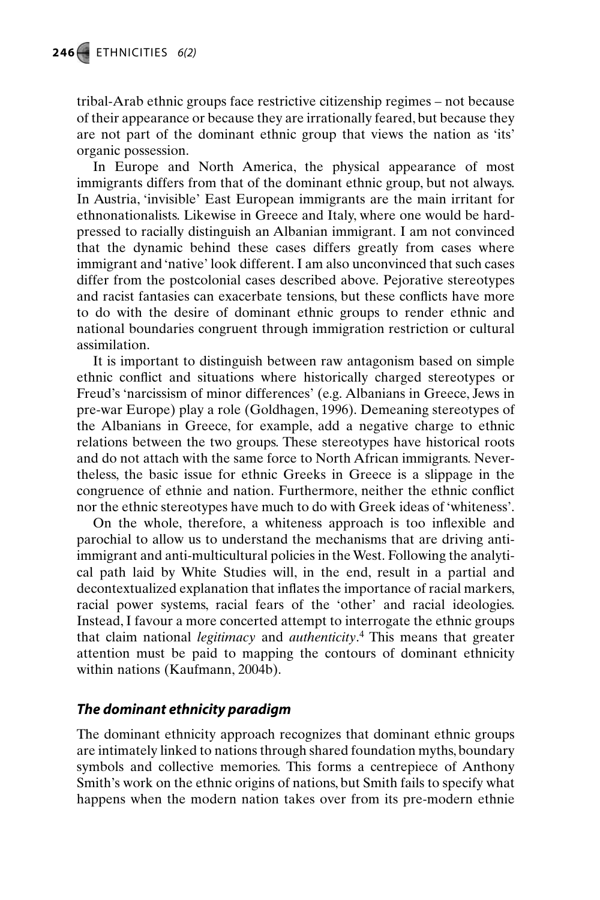tribal-Arab ethnic groups face restrictive citizenship regimes – not because of their appearance or because they are irrationally feared, but because they are not part of the dominant ethnic group that views the nation as 'its' organic possession.

In Europe and North America, the physical appearance of most immigrants differs from that of the dominant ethnic group, but not always. In Austria, 'invisible' East European immigrants are the main irritant for ethnonationalists. Likewise in Greece and Italy, where one would be hardpressed to racially distinguish an Albanian immigrant. I am not convinced that the dynamic behind these cases differs greatly from cases where immigrant and 'native' look different. I am also unconvinced that such cases differ from the postcolonial cases described above. Pejorative stereotypes and racist fantasies can exacerbate tensions, but these conflicts have more to do with the desire of dominant ethnic groups to render ethnic and national boundaries congruent through immigration restriction or cultural assimilation.

It is important to distinguish between raw antagonism based on simple ethnic conflict and situations where historically charged stereotypes or Freud's 'narcissism of minor differences' (e.g. Albanians in Greece, Jews in pre-war Europe) play a role (Goldhagen, 1996). Demeaning stereotypes of the Albanians in Greece, for example, add a negative charge to ethnic relations between the two groups. These stereotypes have historical roots and do not attach with the same force to North African immigrants. Nevertheless, the basic issue for ethnic Greeks in Greece is a slippage in the congruence of ethnie and nation. Furthermore, neither the ethnic conflict nor the ethnic stereotypes have much to do with Greek ideas of 'whiteness'.

On the whole, therefore, a whiteness approach is too inflexible and parochial to allow us to understand the mechanisms that are driving antiimmigrant and anti-multicultural policies in the West. Following the analytical path laid by White Studies will, in the end, result in a partial and decontextualized explanation that inflates the importance of racial markers, racial power systems, racial fears of the 'other' and racial ideologies. Instead, I favour a more concerted attempt to interrogate the ethnic groups that claim national *legitimacy* and *authenticity*. <sup>4</sup> This means that greater attention must be paid to mapping the contours of dominant ethnicity within nations (Kaufmann, 2004b).

#### *The dominant ethnicity paradigm*

The dominant ethnicity approach recognizes that dominant ethnic groups are intimately linked to nations through shared foundation myths, boundary symbols and collective memories. This forms a centrepiece of Anthony Smith's work on the ethnic origins of nations, but Smith fails to specify what happens when the modern nation takes over from its pre-modern ethnie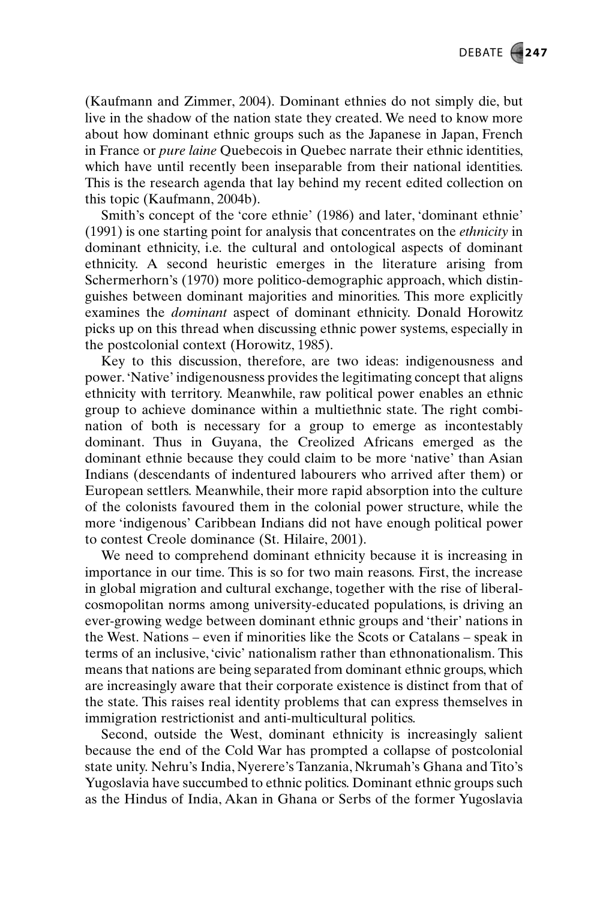(Kaufmann and Zimmer, 2004). Dominant ethnies do not simply die, but live in the shadow of the nation state they created. We need to know more about how dominant ethnic groups such as the Japanese in Japan, French in France or *pure laine* Quebecois in Quebec narrate their ethnic identities, which have until recently been inseparable from their national identities. This is the research agenda that lay behind my recent edited collection on this topic (Kaufmann, 2004b).

Smith's concept of the 'core ethnie' (1986) and later, 'dominant ethnie' (1991) is one starting point for analysis that concentrates on the *ethnicity* in dominant ethnicity, i.e. the cultural and ontological aspects of dominant ethnicity. A second heuristic emerges in the literature arising from Schermerhorn's (1970) more politico-demographic approach, which distinguishes between dominant majorities and minorities. This more explicitly examines the *dominant* aspect of dominant ethnicity. Donald Horowitz picks up on this thread when discussing ethnic power systems, especially in the postcolonial context (Horowitz, 1985).

Key to this discussion, therefore, are two ideas: indigenousness and power. 'Native' indigenousness provides the legitimating concept that aligns ethnicity with territory. Meanwhile, raw political power enables an ethnic group to achieve dominance within a multiethnic state. The right combination of both is necessary for a group to emerge as incontestably dominant. Thus in Guyana, the Creolized Africans emerged as the dominant ethnie because they could claim to be more 'native' than Asian Indians (descendants of indentured labourers who arrived after them) or European settlers. Meanwhile, their more rapid absorption into the culture of the colonists favoured them in the colonial power structure, while the more 'indigenous' Caribbean Indians did not have enough political power to contest Creole dominance (St. Hilaire, 2001).

We need to comprehend dominant ethnicity because it is increasing in importance in our time. This is so for two main reasons. First, the increase in global migration and cultural exchange, together with the rise of liberalcosmopolitan norms among university-educated populations, is driving an ever-growing wedge between dominant ethnic groups and 'their' nations in the West. Nations – even if minorities like the Scots or Catalans – speak in terms of an inclusive, 'civic' nationalism rather than ethnonationalism. This means that nations are being separated from dominant ethnic groups, which are increasingly aware that their corporate existence is distinct from that of the state. This raises real identity problems that can express themselves in immigration restrictionist and anti-multicultural politics.

Second, outside the West, dominant ethnicity is increasingly salient because the end of the Cold War has prompted a collapse of postcolonial state unity. Nehru's India, Nyerere's Tanzania, Nkrumah's Ghana and Tito's Yugoslavia have succumbed to ethnic politics. Dominant ethnic groups such as the Hindus of India, Akan in Ghana or Serbs of the former Yugoslavia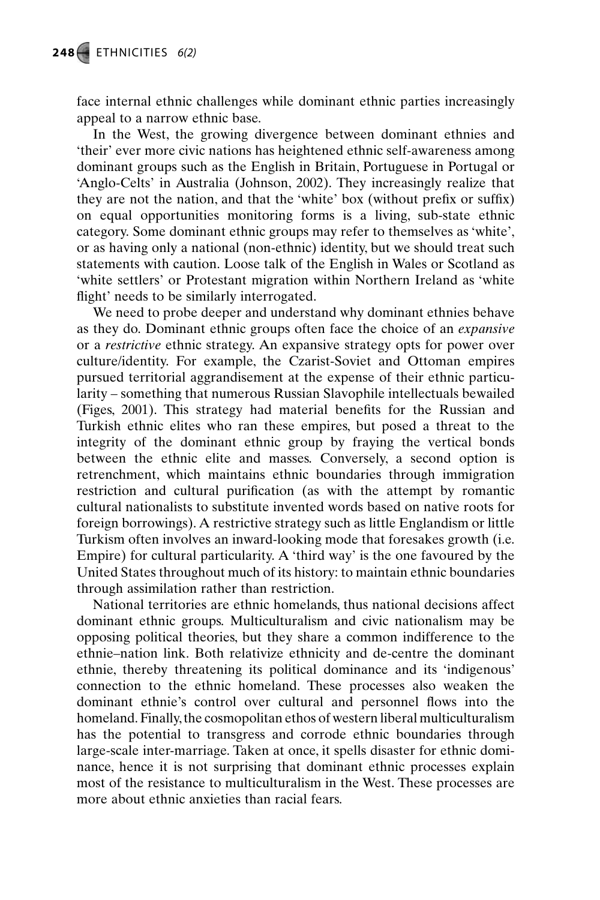face internal ethnic challenges while dominant ethnic parties increasingly appeal to a narrow ethnic base.

In the West, the growing divergence between dominant ethnies and 'their' ever more civic nations has heightened ethnic self-awareness among dominant groups such as the English in Britain, Portuguese in Portugal or 'Anglo-Celts' in Australia (Johnson, 2002). They increasingly realize that they are not the nation, and that the 'white' box (without prefix or suffix) on equal opportunities monitoring forms is a living, sub-state ethnic category. Some dominant ethnic groups may refer to themselves as 'white', or as having only a national (non-ethnic) identity, but we should treat such statements with caution. Loose talk of the English in Wales or Scotland as 'white settlers' or Protestant migration within Northern Ireland as 'white flight' needs to be similarly interrogated.

We need to probe deeper and understand why dominant ethnies behave as they do. Dominant ethnic groups often face the choice of an *expansive* or a *restrictive* ethnic strategy. An expansive strategy opts for power over culture/identity. For example, the Czarist-Soviet and Ottoman empires pursued territorial aggrandisement at the expense of their ethnic particularity – something that numerous Russian Slavophile intellectuals bewailed (Figes, 2001). This strategy had material benefits for the Russian and Turkish ethnic elites who ran these empires, but posed a threat to the integrity of the dominant ethnic group by fraying the vertical bonds between the ethnic elite and masses. Conversely, a second option is retrenchment, which maintains ethnic boundaries through immigration restriction and cultural purification (as with the attempt by romantic cultural nationalists to substitute invented words based on native roots for foreign borrowings). A restrictive strategy such as little Englandism or little Turkism often involves an inward-looking mode that foresakes growth (i.e. Empire) for cultural particularity. A 'third way' is the one favoured by the United States throughout much of its history: to maintain ethnic boundaries through assimilation rather than restriction.

National territories are ethnic homelands, thus national decisions affect dominant ethnic groups. Multiculturalism and civic nationalism may be opposing political theories, but they share a common indifference to the ethnie–nation link. Both relativize ethnicity and de-centre the dominant ethnie, thereby threatening its political dominance and its 'indigenous' connection to the ethnic homeland. These processes also weaken the dominant ethnie's control over cultural and personnel flows into the homeland. Finally,the cosmopolitan ethos of western liberal multiculturalism has the potential to transgress and corrode ethnic boundaries through large-scale inter-marriage. Taken at once, it spells disaster for ethnic dominance, hence it is not surprising that dominant ethnic processes explain most of the resistance to multiculturalism in the West. These processes are more about ethnic anxieties than racial fears.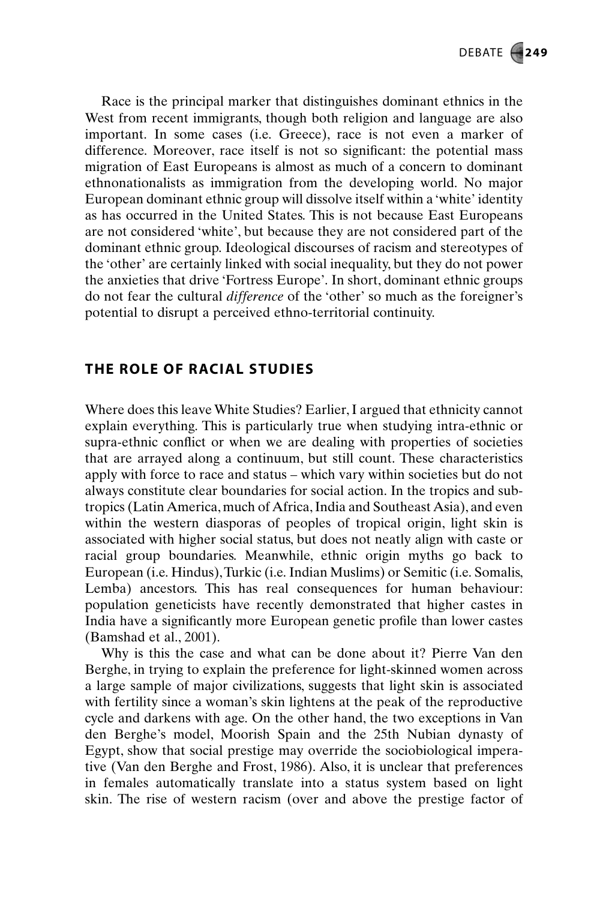

Race is the principal marker that distinguishes dominant ethnics in the West from recent immigrants, though both religion and language are also important. In some cases (i.e. Greece), race is not even a marker of difference. Moreover, race itself is not so significant: the potential mass migration of East Europeans is almost as much of a concern to dominant ethnonationalists as immigration from the developing world. No major European dominant ethnic group will dissolve itself within a 'white' identity as has occurred in the United States. This is not because East Europeans are not considered 'white', but because they are not considered part of the dominant ethnic group. Ideological discourses of racism and stereotypes of the 'other' are certainly linked with social inequality, but they do not power the anxieties that drive 'Fortress Europe'. In short, dominant ethnic groups do not fear the cultural *difference* of the 'other' so much as the foreigner's potential to disrupt a perceived ethno-territorial continuity.

#### **THE ROLE OF RACIAL STUDIES**

Where does this leave White Studies? Earlier, I argued that ethnicity cannot explain everything. This is particularly true when studying intra-ethnic or supra-ethnic conflict or when we are dealing with properties of societies that are arrayed along a continuum, but still count. These characteristics apply with force to race and status – which vary within societies but do not always constitute clear boundaries for social action. In the tropics and subtropics (Latin America, much of Africa, India and Southeast Asia), and even within the western diasporas of peoples of tropical origin, light skin is associated with higher social status, but does not neatly align with caste or racial group boundaries. Meanwhile, ethnic origin myths go back to European (i.e. Hindus),Turkic (i.e. Indian Muslims) or Semitic (i.e. Somalis, Lemba) ancestors. This has real consequences for human behaviour: population geneticists have recently demonstrated that higher castes in India have a significantly more European genetic profile than lower castes (Bamshad et al., 2001).

Why is this the case and what can be done about it? Pierre Van den Berghe, in trying to explain the preference for light-skinned women across a large sample of major civilizations, suggests that light skin is associated with fertility since a woman's skin lightens at the peak of the reproductive cycle and darkens with age. On the other hand, the two exceptions in Van den Berghe's model, Moorish Spain and the 25th Nubian dynasty of Egypt, show that social prestige may override the sociobiological imperative (Van den Berghe and Frost, 1986). Also, it is unclear that preferences in females automatically translate into a status system based on light skin. The rise of western racism (over and above the prestige factor of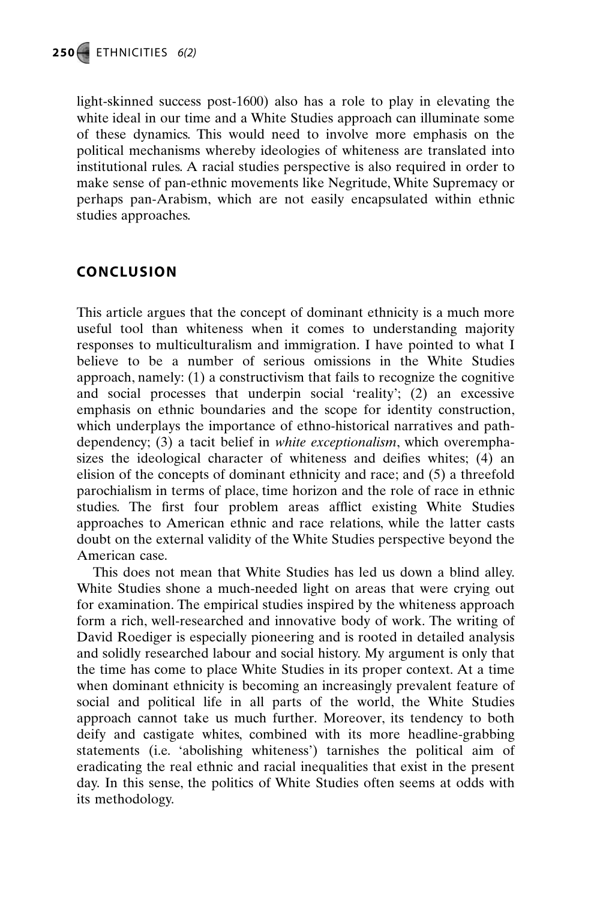light-skinned success post-1600) also has a role to play in elevating the white ideal in our time and a White Studies approach can illuminate some of these dynamics. This would need to involve more emphasis on the political mechanisms whereby ideologies of whiteness are translated into institutional rules. A racial studies perspective is also required in order to make sense of pan-ethnic movements like Negritude, White Supremacy or perhaps pan-Arabism, which are not easily encapsulated within ethnic studies approaches.

#### **CONCLUSION**

This article argues that the concept of dominant ethnicity is a much more useful tool than whiteness when it comes to understanding majority responses to multiculturalism and immigration. I have pointed to what I believe to be a number of serious omissions in the White Studies approach, namely: (1) a constructivism that fails to recognize the cognitive and social processes that underpin social 'reality'; (2) an excessive emphasis on ethnic boundaries and the scope for identity construction, which underplays the importance of ethno-historical narratives and pathdependency; (3) a tacit belief in *white exceptionalism*, which overemphasizes the ideological character of whiteness and deifies whites; (4) an elision of the concepts of dominant ethnicity and race; and (5) a threefold parochialism in terms of place, time horizon and the role of race in ethnic studies. The first four problem areas afflict existing White Studies approaches to American ethnic and race relations, while the latter casts doubt on the external validity of the White Studies perspective beyond the American case.

This does not mean that White Studies has led us down a blind alley. White Studies shone a much-needed light on areas that were crying out for examination. The empirical studies inspired by the whiteness approach form a rich, well-researched and innovative body of work. The writing of David Roediger is especially pioneering and is rooted in detailed analysis and solidly researched labour and social history. My argument is only that the time has come to place White Studies in its proper context. At a time when dominant ethnicity is becoming an increasingly prevalent feature of social and political life in all parts of the world, the White Studies approach cannot take us much further. Moreover, its tendency to both deify and castigate whites, combined with its more headline-grabbing statements (i.e. 'abolishing whiteness') tarnishes the political aim of eradicating the real ethnic and racial inequalities that exist in the present day. In this sense, the politics of White Studies often seems at odds with its methodology.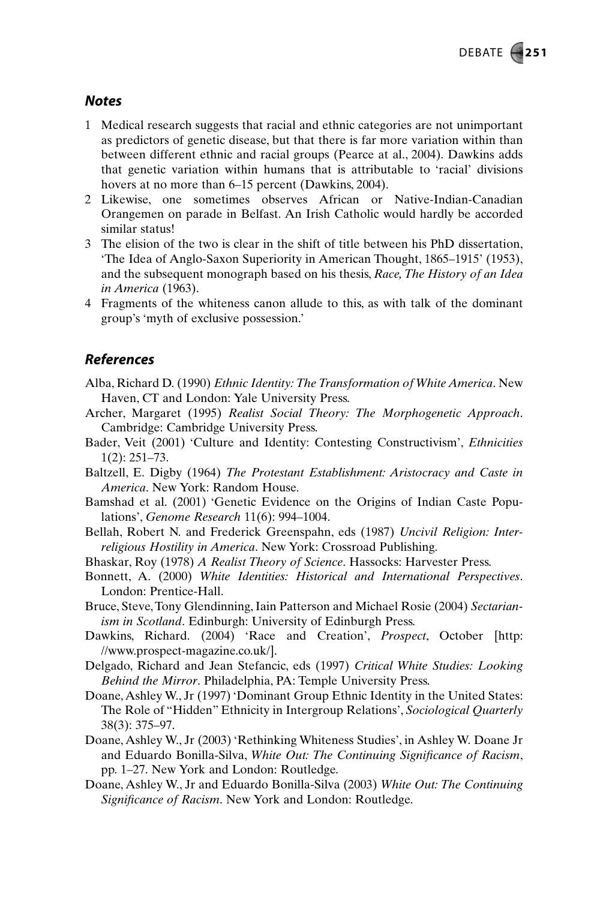#### *Notes*

- 1 Medical research suggests that racial and ethnic categories are not unimportant as predictors of genetic disease, but that there is far more variation within than between different ethnic and racial groups (Pearce at al., 2004). Dawkins adds that genetic variation within humans that is attributable to 'racial' divisions hovers at no more than 6–15 percent (Dawkins, 2004).
- 2 Likewise, one sometimes observes African or Native-Indian-Canadian Orangemen on parade in Belfast. An Irish Catholic would hardly be accorded similar status!
- 3 The elision of the two is clear in the shift of title between his PhD dissertation, 'The Idea of Anglo-Saxon Superiority in American Thought, 1865–1915' (1953), and the subsequent monograph based on his thesis, *Race, The History of an Idea in America* (1963).
- 4 Fragments of the whiteness canon allude to this, as with talk of the dominant group's 'myth of exclusive possession.'

#### *References*

- Alba, Richard D. (1990) *Ethnic Identity: The Transformation of White America*. New Haven, CT and London: Yale University Press.
- Archer, Margaret (1995) *Realist Social Theory: The Morphogenetic Approach*. Cambridge: Cambridge University Press.
- Bader, Veit (2001) 'Culture and Identity: Contesting Constructivism', *Ethnicities* 1(2): 251–73.
- Baltzell, E. Digby (1964) *The Protestant Establishment: Aristocracy and Caste in America*. New York: Random House.
- Bamshad et al. (2001) 'Genetic Evidence on the Origins of Indian Caste Populations', *Genome Research* 11(6): 994–1004.
- Bellah, Robert N. and Frederick Greenspahn, eds (1987) *Uncivil Religion: Interreligious Hostility in America*. New York: Crossroad Publishing.
- Bhaskar, Roy (1978) *A Realist Theory of Science*. Hassocks: Harvester Press.
- Bonnett, A. (2000) *White Identities: Historical and International Perspectives*. London: Prentice-Hall.
- Bruce, Steve, Tony Glendinning, Iain Patterson and Michael Rosie (2004) *Sectarianism in Scotland*. Edinburgh: University of Edinburgh Press.
- Dawkins, Richard. (2004) 'Race and Creation', *Prospect*, October [http: //www.prospect-magazine.co.uk/].
- Delgado, Richard and Jean Stefancic, eds (1997) *Critical White Studies: Looking Behind the Mirror*. Philadelphia, PA: Temple University Press.
- Doane, Ashley W., Jr (1997) 'Dominant Group Ethnic Identity in the United States: The Role of "Hidden" Ethnicity in Intergroup Relations', *Sociological Quarterly* 38(3): 375–97.
- Doane, Ashley W., Jr (2003) 'Rethinking Whiteness Studies', in Ashley W. Doane Jr and Eduardo Bonilla-Silva, *White Out: The Continuing Significance of Racism*, pp. 1–27. New York and London: Routledge.
- Doane, Ashley W., Jr and Eduardo Bonilla-Silva (2003) *White Out: The Continuing Significance of Racism*. New York and London: Routledge.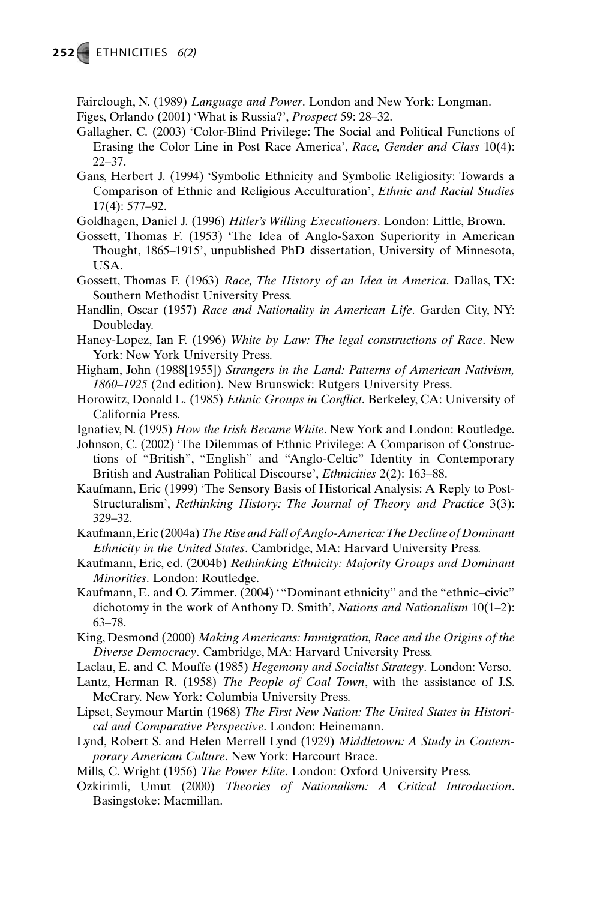Fairclough, N. (1989) *Language and Power*. London and New York: Longman.

- Figes, Orlando (2001) 'What is Russia?', *Prospect* 59: 28–32.
- Gallagher, C. (2003) 'Color-Blind Privilege: The Social and Political Functions of Erasing the Color Line in Post Race America', *Race, Gender and Class* 10(4): 22–37.
- Gans, Herbert J. (1994) 'Symbolic Ethnicity and Symbolic Religiosity: Towards a Comparison of Ethnic and Religious Acculturation', *Ethnic and Racial Studies* 17(4): 577–92.
- Goldhagen, Daniel J. (1996) *Hitler's Willing Executioners*. London: Little, Brown.
- Gossett, Thomas F. (1953) 'The Idea of Anglo-Saxon Superiority in American Thought, 1865–1915', unpublished PhD dissertation, University of Minnesota, USA.
- Gossett, Thomas F. (1963) *Race, The History of an Idea in America*. Dallas, TX: Southern Methodist University Press.
- Handlin, Oscar (1957) *Race and Nationality in American Life*. Garden City, NY: Doubleday.
- Haney-Lopez, Ian F. (1996) *White by Law: The legal constructions of Race*. New York: New York University Press.
- Higham, John (1988[1955]) *Strangers in the Land: Patterns of American Nativism, 1860–1925* (2nd edition). New Brunswick: Rutgers University Press.
- Horowitz, Donald L. (1985) *Ethnic Groups in Conflict*. Berkeley, CA: University of California Press.
- Ignatiev, N. (1995) *How the Irish Became White*. New York and London: Routledge.
- Johnson, C. (2002) 'The Dilemmas of Ethnic Privilege: A Comparison of Constructions of "British", "English" and "Anglo-Celtic" Identity in Contemporary British and Australian Political Discourse', *Ethnicities* 2(2): 163–88.
- Kaufmann, Eric (1999) 'The Sensory Basis of Historical Analysis: A Reply to Post-Structuralism', *Rethinking History: The Journal of Theory and Practice* 3(3): 329–32.
- Kaufmann,Eric (2004a)*The Rise and Fall ofAnglo-America:The Decline of Dominant Ethnicity in the United States*. Cambridge, MA: Harvard University Press.
- Kaufmann, Eric, ed. (2004b) *Rethinking Ethnicity: Majority Groups and Dominant Minorities*. London: Routledge.
- Kaufmann, E. and O. Zimmer. (2004) '"Dominant ethnicity" and the "ethnic–civic" dichotomy in the work of Anthony D. Smith', *Nations and Nationalism* 10(1–2): 63–78.
- King, Desmond (2000) *Making Americans: Immigration, Race and the Origins of the Diverse Democracy*. Cambridge, MA: Harvard University Press.
- Laclau, E. and C. Mouffe (1985) *Hegemony and Socialist Strategy*. London: Verso.
- Lantz, Herman R. (1958) *The People of Coal Town*, with the assistance of J.S. McCrary. New York: Columbia University Press.
- Lipset, Seymour Martin (1968) *The First New Nation: The United States in Historical and Comparative Perspective*. London: Heinemann.
- Lynd, Robert S. and Helen Merrell Lynd (1929) *Middletown: A Study in Contemporary American Culture*. New York: Harcourt Brace.
- Mills, C. Wright (1956) *The Power Elite*. London: Oxford University Press.
- Ozkirimli, Umut (2000) *Theories of Nationalism: A Critical Introduction*. Basingstoke: Macmillan.